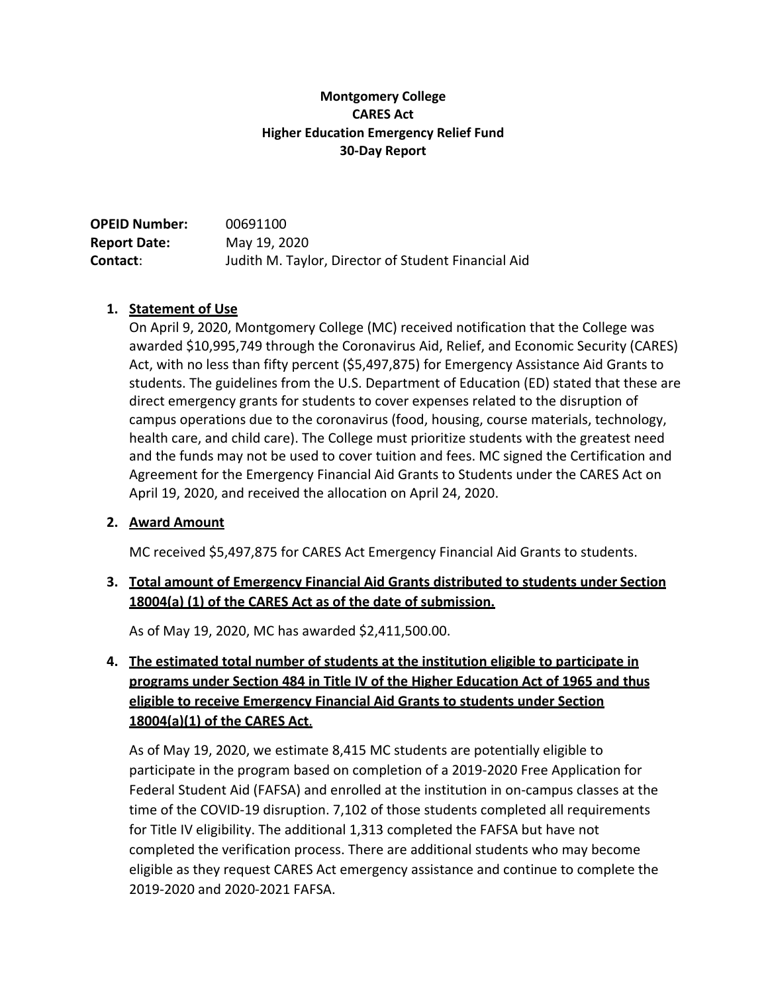### **Montgomery College CARES Act Higher Education Emergency Relief Fund 30-Day Report**

| <b>OPEID Number:</b> | 00691100                                            |
|----------------------|-----------------------------------------------------|
| <b>Report Date:</b>  | May 19, 2020                                        |
| <b>Contact:</b>      | Judith M. Taylor, Director of Student Financial Aid |

### **1. Statement of Use**

On April 9, 2020, Montgomery College (MC) received notification that the College was awarded \$10,995,749 through the Coronavirus Aid, Relief, and Economic Security (CARES) Act, with no less than fifty percent (\$5,497,875) for Emergency Assistance Aid Grants to students. The guidelines from the U.S. Department of Education (ED) stated that these are direct emergency grants for students to cover expenses related to the disruption of campus operations due to the coronavirus (food, housing, course materials, technology, health care, and child care). The College must prioritize students with the greatest need and the funds may not be used to cover tuition and fees. MC signed the Certification and Agreement for the Emergency Financial Aid Grants to Students under the CARES Act on April 19, 2020, and received the allocation on April 24, 2020.

### **2. Award Amount**

MC received \$5,497,875 for CARES Act Emergency Financial Aid Grants to students.

## **3. Total amount of Emergency Financial Aid Grants distributed to students under Section 18004(a) (1) of the CARES Act as of the date of submission.**

As of May 19, 2020, MC has awarded \$2,411,500.00.

# **4. The estimated total number of students at the institution eligible to participate in programs under Section 484 in Title IV of the Higher Education Act of 1965 and thus eligible to receive Emergency Financial Aid Grants to students under Section 18004(a)(1) of the CARES Act**.

As of May 19, 2020, we estimate 8,415 MC students are potentially eligible to participate in the program based on completion of a 2019-2020 Free Application for Federal Student Aid (FAFSA) and enrolled at the institution in on-campus classes at the time of the COVID-19 disruption. 7,102 of those students completed all requirements for Title IV eligibility. The additional 1,313 completed the FAFSA but have not completed the verification process. There are additional students who may become eligible as they request CARES Act emergency assistance and continue to complete the 2019-2020 and 2020-2021 FAFSA.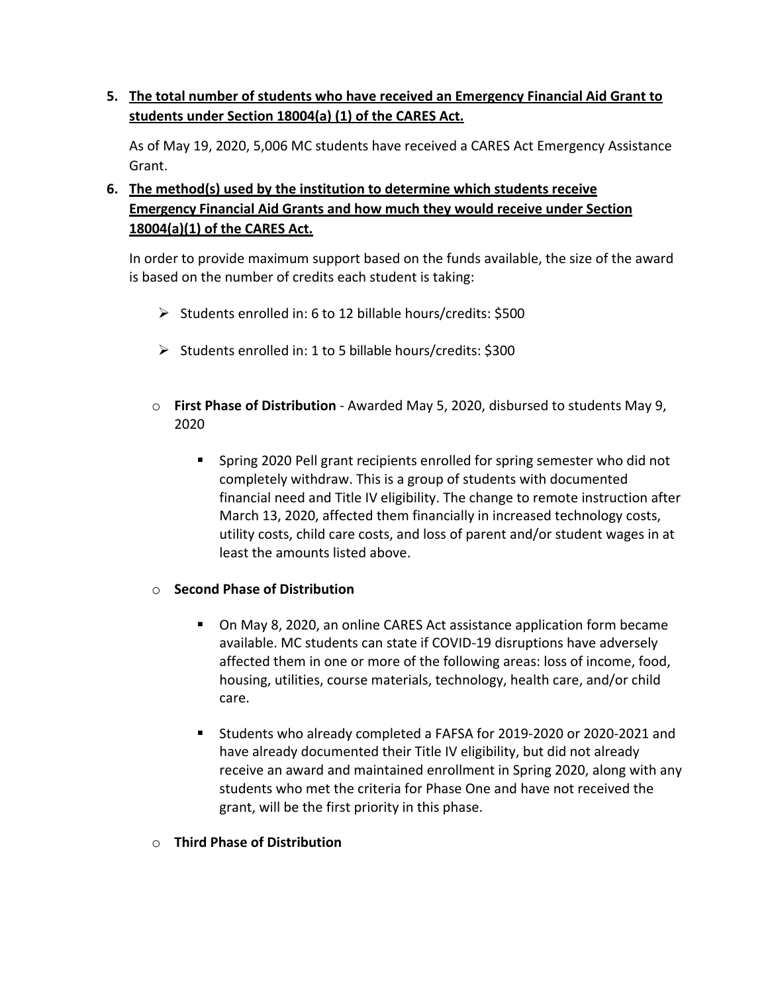**5. The total number of students who have received an Emergency Financial Aid Grant to students under Section 18004(a) (1) of the CARES Act.**

As of May 19, 2020, 5,006 MC students have received a CARES Act Emergency Assistance Grant.

**6. The method(s) used by the institution to determine which students receive Emergency Financial Aid Grants and how much they would receive under Section 18004(a)(1) of the CARES Act.**

In order to provide maximum support based on the funds available, the size of the award is based on the number of credits each student is taking:

- $\triangleright$  Students enrolled in: 6 to 12 billable hours/credits: \$500
- $\triangleright$  Students enrolled in: 1 to 5 billable hours/credits: \$300
- o **First Phase of Distribution**  Awarded May 5, 2020, disbursed to students May 9, 2020
	- Spring 2020 Pell grant recipients enrolled for spring semester who did not completely withdraw. This is a group of students with documented financial need and Title IV eligibility. The change to remote instruction after March 13, 2020, affected them financially in increased technology costs, utility costs, child care costs, and loss of parent and/or student wages in at least the amounts listed above.

### o **Second Phase of Distribution**

- On May 8, 2020, an online CARES Act assistance application form became available. MC students can state if COVID-19 disruptions have adversely affected them in one or more of the following areas: loss of income, food, housing, utilities, course materials, technology, health care, and/or child care.
- Students who already completed a FAFSA for 2019-2020 or 2020-2021 and have already documented their Title IV eligibility, but did not already receive an award and maintained enrollment in Spring 2020, along with any students who met the criteria for Phase One and have not received the grant, will be the first priority in this phase.
- o **Third Phase of Distribution**